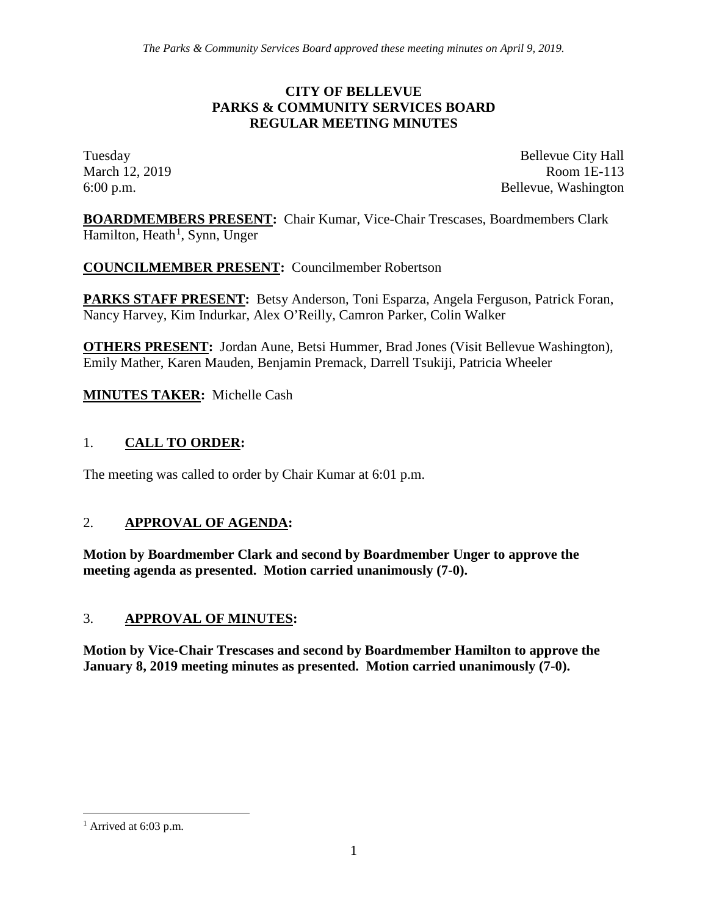#### **CITY OF BELLEVUE PARKS & COMMUNITY SERVICES BOARD REGULAR MEETING MINUTES**

Tuesday Bellevue City Hall March 12, 2019 Room 1E-113 6:00 p.m. Bellevue, Washington

**BOARDMEMBERS PRESENT:** Chair Kumar, Vice-Chair Trescases, Boardmembers Clark Hamilton, Heath<sup>[1](#page-0-0)</sup>, Synn, Unger

**COUNCILMEMBER PRESENT:** Councilmember Robertson

**PARKS STAFF PRESENT:** Betsy Anderson, Toni Esparza, Angela Ferguson, Patrick Foran, Nancy Harvey, Kim Indurkar, Alex O'Reilly, Camron Parker, Colin Walker

**OTHERS PRESENT:** Jordan Aune, Betsi Hummer, Brad Jones (Visit Bellevue Washington), Emily Mather, Karen Mauden, Benjamin Premack, Darrell Tsukiji, Patricia Wheeler

**MINUTES TAKER:** Michelle Cash

# 1. **CALL TO ORDER:**

The meeting was called to order by Chair Kumar at 6:01 p.m.

## 2. **APPROVAL OF AGENDA:**

**Motion by Boardmember Clark and second by Boardmember Unger to approve the meeting agenda as presented. Motion carried unanimously (7-0).**

## 3. **APPROVAL OF MINUTES:**

**Motion by Vice-Chair Trescases and second by Boardmember Hamilton to approve the January 8, 2019 meeting minutes as presented. Motion carried unanimously (7-0).**

<span id="page-0-0"></span> $<sup>1</sup>$  Arrived at 6:03 p.m.</sup>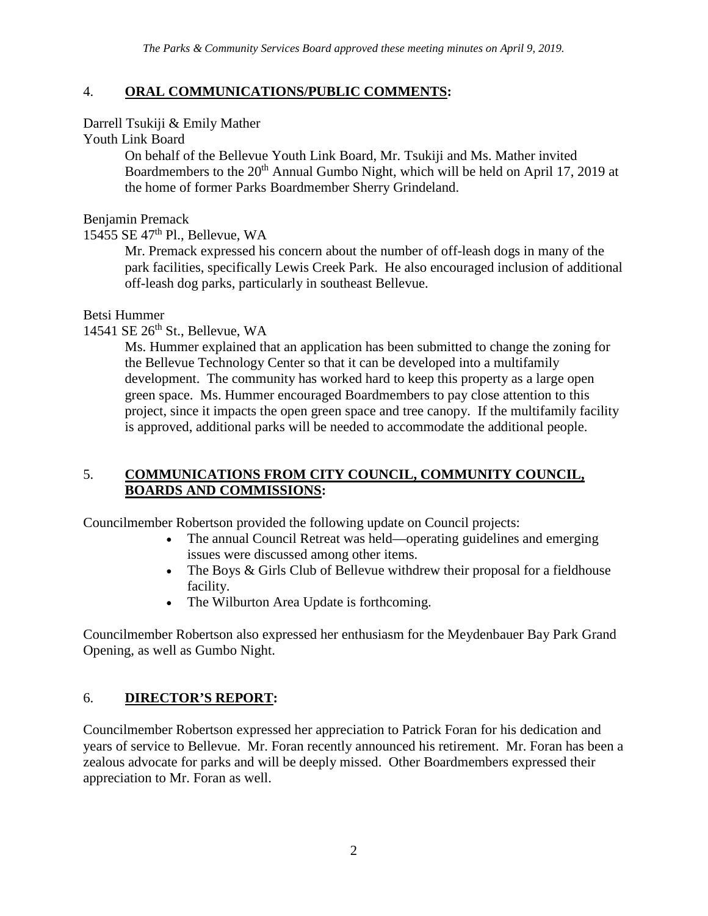## 4. **ORAL COMMUNICATIONS/PUBLIC COMMENTS:**

Darrell Tsukiji & Emily Mather

Youth Link Board

On behalf of the Bellevue Youth Link Board, Mr. Tsukiji and Ms. Mather invited Boardmembers to the 20<sup>th</sup> Annual Gumbo Night, which will be held on April 17, 2019 at the home of former Parks Boardmember Sherry Grindeland.

Benjamin Premack

15455 SE 47th Pl., Bellevue, WA

Mr. Premack expressed his concern about the number of off-leash dogs in many of the park facilities, specifically Lewis Creek Park. He also encouraged inclusion of additional off-leash dog parks, particularly in southeast Bellevue.

Betsi Hummer

14541 SE  $26<sup>th</sup>$  St., Bellevue, WA

Ms. Hummer explained that an application has been submitted to change the zoning for the Bellevue Technology Center so that it can be developed into a multifamily development. The community has worked hard to keep this property as a large open green space. Ms. Hummer encouraged Boardmembers to pay close attention to this project, since it impacts the open green space and tree canopy. If the multifamily facility is approved, additional parks will be needed to accommodate the additional people.

## 5. **COMMUNICATIONS FROM CITY COUNCIL, COMMUNITY COUNCIL, BOARDS AND COMMISSIONS:**

Councilmember Robertson provided the following update on Council projects:

- The annual Council Retreat was held—operating guidelines and emerging issues were discussed among other items.
- The Boys & Girls Club of Bellevue withdrew their proposal for a fieldhouse facility.
- The Wilburton Area Update is forthcoming.

Councilmember Robertson also expressed her enthusiasm for the Meydenbauer Bay Park Grand Opening, as well as Gumbo Night.

# 6. **DIRECTOR'S REPORT:**

Councilmember Robertson expressed her appreciation to Patrick Foran for his dedication and years of service to Bellevue. Mr. Foran recently announced his retirement. Mr. Foran has been a zealous advocate for parks and will be deeply missed. Other Boardmembers expressed their appreciation to Mr. Foran as well.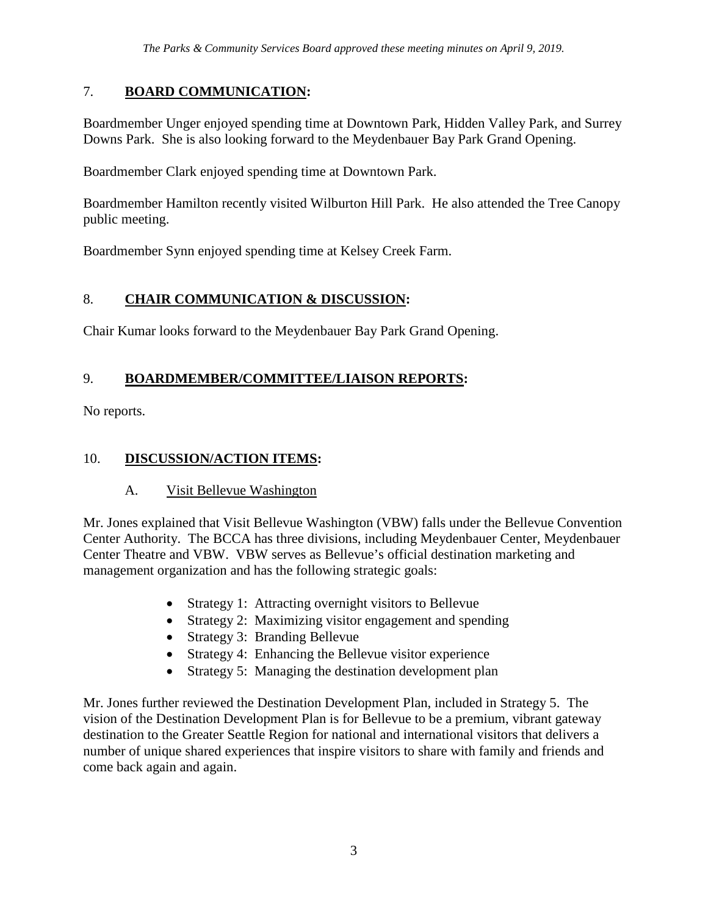# 7. **BOARD COMMUNICATION:**

Boardmember Unger enjoyed spending time at Downtown Park, Hidden Valley Park, and Surrey Downs Park. She is also looking forward to the Meydenbauer Bay Park Grand Opening.

Boardmember Clark enjoyed spending time at Downtown Park.

Boardmember Hamilton recently visited Wilburton Hill Park. He also attended the Tree Canopy public meeting.

Boardmember Synn enjoyed spending time at Kelsey Creek Farm.

# 8. **CHAIR COMMUNICATION & DISCUSSION:**

Chair Kumar looks forward to the Meydenbauer Bay Park Grand Opening.

# 9. **BOARDMEMBER/COMMITTEE/LIAISON REPORTS:**

No reports.

# 10. **DISCUSSION/ACTION ITEMS:**

## A. Visit Bellevue Washington

Mr. Jones explained that Visit Bellevue Washington (VBW) falls under the Bellevue Convention Center Authority. The BCCA has three divisions, including Meydenbauer Center, Meydenbauer Center Theatre and VBW. VBW serves as Bellevue's official destination marketing and management organization and has the following strategic goals:

- Strategy 1: Attracting overnight visitors to Bellevue
- Strategy 2: Maximizing visitor engagement and spending
- Strategy 3: Branding Bellevue
- Strategy 4: Enhancing the Bellevue visitor experience
- Strategy 5: Managing the destination development plan

Mr. Jones further reviewed the Destination Development Plan, included in Strategy 5. The vision of the Destination Development Plan is for Bellevue to be a premium, vibrant gateway destination to the Greater Seattle Region for national and international visitors that delivers a number of unique shared experiences that inspire visitors to share with family and friends and come back again and again.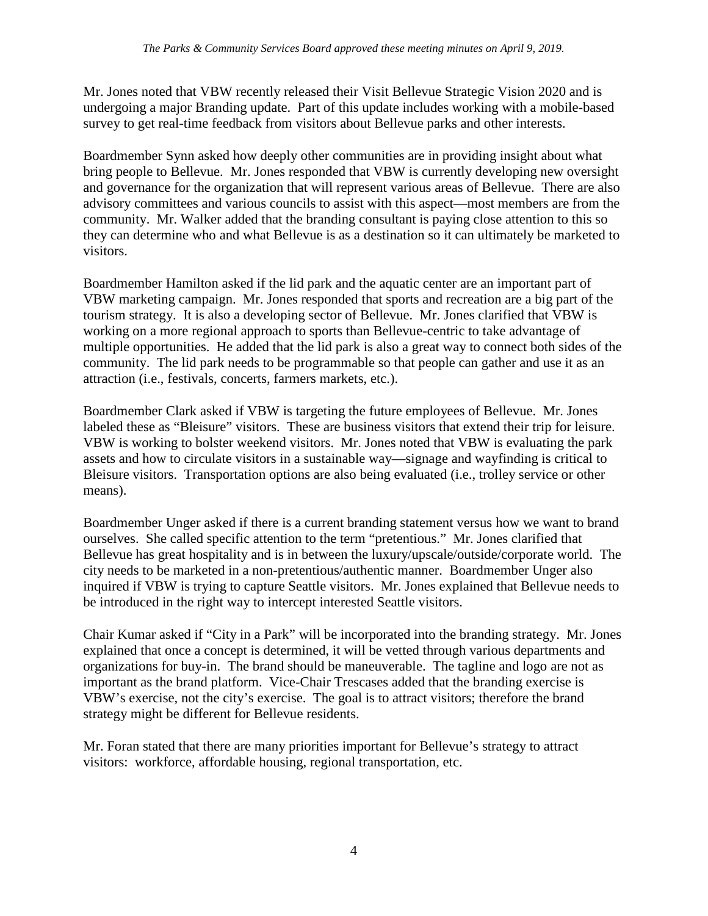Mr. Jones noted that VBW recently released their Visit Bellevue Strategic Vision 2020 and is undergoing a major Branding update. Part of this update includes working with a mobile-based survey to get real-time feedback from visitors about Bellevue parks and other interests.

Boardmember Synn asked how deeply other communities are in providing insight about what bring people to Bellevue. Mr. Jones responded that VBW is currently developing new oversight and governance for the organization that will represent various areas of Bellevue. There are also advisory committees and various councils to assist with this aspect—most members are from the community. Mr. Walker added that the branding consultant is paying close attention to this so they can determine who and what Bellevue is as a destination so it can ultimately be marketed to visitors.

Boardmember Hamilton asked if the lid park and the aquatic center are an important part of VBW marketing campaign. Mr. Jones responded that sports and recreation are a big part of the tourism strategy. It is also a developing sector of Bellevue. Mr. Jones clarified that VBW is working on a more regional approach to sports than Bellevue-centric to take advantage of multiple opportunities. He added that the lid park is also a great way to connect both sides of the community. The lid park needs to be programmable so that people can gather and use it as an attraction (i.e., festivals, concerts, farmers markets, etc.).

Boardmember Clark asked if VBW is targeting the future employees of Bellevue. Mr. Jones labeled these as "Bleisure" visitors. These are business visitors that extend their trip for leisure. VBW is working to bolster weekend visitors. Mr. Jones noted that VBW is evaluating the park assets and how to circulate visitors in a sustainable way—signage and wayfinding is critical to Bleisure visitors. Transportation options are also being evaluated (i.e., trolley service or other means).

Boardmember Unger asked if there is a current branding statement versus how we want to brand ourselves. She called specific attention to the term "pretentious." Mr. Jones clarified that Bellevue has great hospitality and is in between the luxury/upscale/outside/corporate world. The city needs to be marketed in a non-pretentious/authentic manner. Boardmember Unger also inquired if VBW is trying to capture Seattle visitors. Mr. Jones explained that Bellevue needs to be introduced in the right way to intercept interested Seattle visitors.

Chair Kumar asked if "City in a Park" will be incorporated into the branding strategy. Mr. Jones explained that once a concept is determined, it will be vetted through various departments and organizations for buy-in. The brand should be maneuverable. The tagline and logo are not as important as the brand platform. Vice-Chair Trescases added that the branding exercise is VBW's exercise, not the city's exercise. The goal is to attract visitors; therefore the brand strategy might be different for Bellevue residents.

Mr. Foran stated that there are many priorities important for Bellevue's strategy to attract visitors: workforce, affordable housing, regional transportation, etc.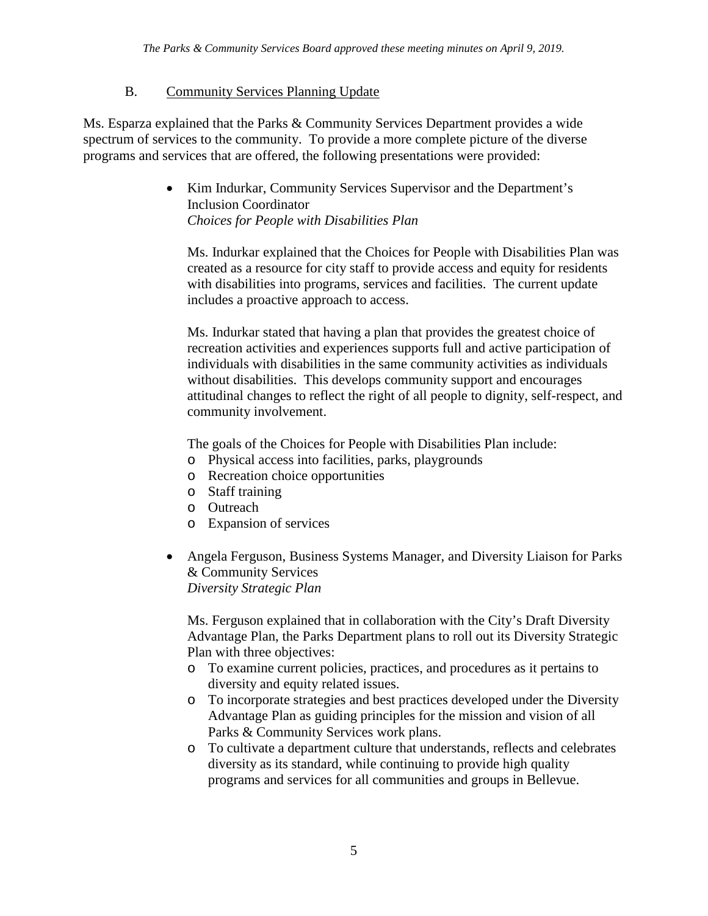## B. Community Services Planning Update

Ms. Esparza explained that the Parks & Community Services Department provides a wide spectrum of services to the community. To provide a more complete picture of the diverse programs and services that are offered, the following presentations were provided:

> • Kim Indurkar, Community Services Supervisor and the Department's Inclusion Coordinator *Choices for People with Disabilities Plan*

Ms. Indurkar explained that the Choices for People with Disabilities Plan was created as a resource for city staff to provide access and equity for residents with disabilities into programs, services and facilities. The current update includes a proactive approach to access.

Ms. Indurkar stated that having a plan that provides the greatest choice of recreation activities and experiences supports full and active participation of individuals with disabilities in the same community activities as individuals without disabilities. This develops community support and encourages attitudinal changes to reflect the right of all people to dignity, self-respect, and community involvement.

The goals of the Choices for People with Disabilities Plan include:

- o Physical access into facilities, parks, playgrounds
- o Recreation choice opportunities
- o Staff training
- o Outreach
- o Expansion of services
- Angela Ferguson, Business Systems Manager, and Diversity Liaison for Parks & Community Services *Diversity Strategic Plan*

Ms. Ferguson explained that in collaboration with the City's Draft Diversity Advantage Plan, the Parks Department plans to roll out its Diversity Strategic Plan with three objectives:

- o To examine current policies, practices, and procedures as it pertains to diversity and equity related issues.
- o To incorporate strategies and best practices developed under the Diversity Advantage Plan as guiding principles for the mission and vision of all Parks & Community Services work plans.
- o To cultivate a department culture that understands, reflects and celebrates diversity as its standard, while continuing to provide high quality programs and services for all communities and groups in Bellevue.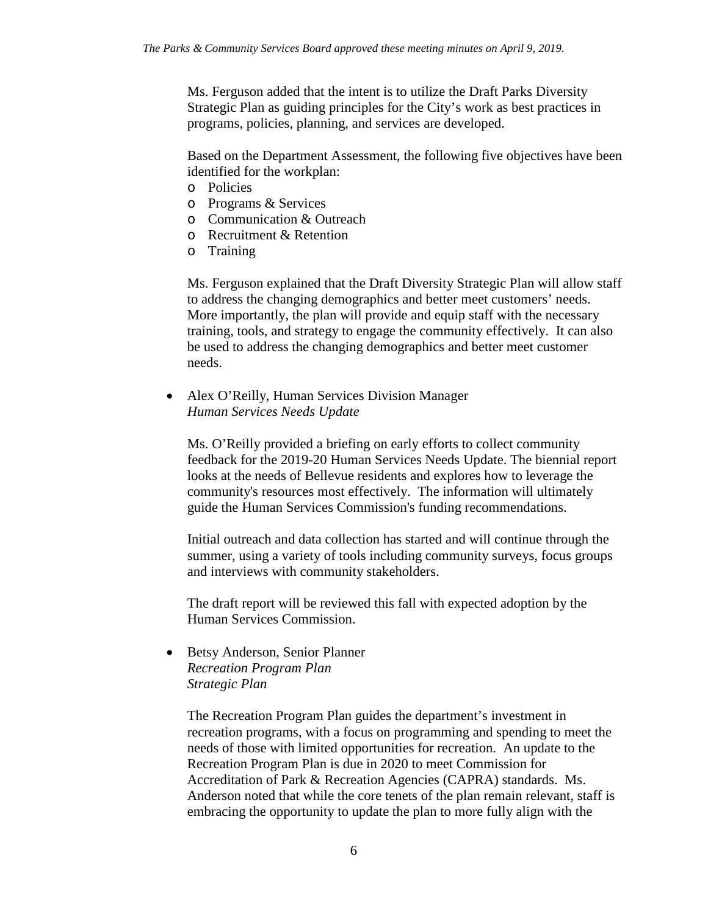Ms. Ferguson added that the intent is to utilize the Draft Parks Diversity Strategic Plan as guiding principles for the City's work as best practices in programs, policies, planning, and services are developed.

Based on the Department Assessment, the following five objectives have been identified for the workplan:

- o Policies
- o Programs & Services
- o Communication & Outreach
- o Recruitment & Retention
- o Training

Ms. Ferguson explained that the Draft Diversity Strategic Plan will allow staff to address the changing demographics and better meet customers' needs. More importantly, the plan will provide and equip staff with the necessary training, tools, and strategy to engage the community effectively. It can also be used to address the changing demographics and better meet customer needs.

• Alex O'Reilly, Human Services Division Manager *Human Services Needs Update*

Ms. O'Reilly provided a briefing on early efforts to collect community feedback for the 2019-20 Human Services Needs Update. The biennial report looks at the needs of Bellevue residents and explores how to leverage the community's resources most effectively. The information will ultimately guide the Human Services Commission's funding recommendations.

Initial outreach and data collection has started and will continue through the summer, using a variety of tools including community surveys, focus groups and interviews with community stakeholders.

The draft report will be reviewed this fall with expected adoption by the Human Services Commission.

• Betsy Anderson, Senior Planner *Recreation Program Plan Strategic Plan*

> The Recreation Program Plan guides the department's investment in recreation programs, with a focus on programming and spending to meet the needs of those with limited opportunities for recreation. An update to the Recreation Program Plan is due in 2020 to meet Commission for Accreditation of Park & Recreation Agencies (CAPRA) standards. Ms. Anderson noted that while the core tenets of the plan remain relevant, staff is embracing the opportunity to update the plan to more fully align with the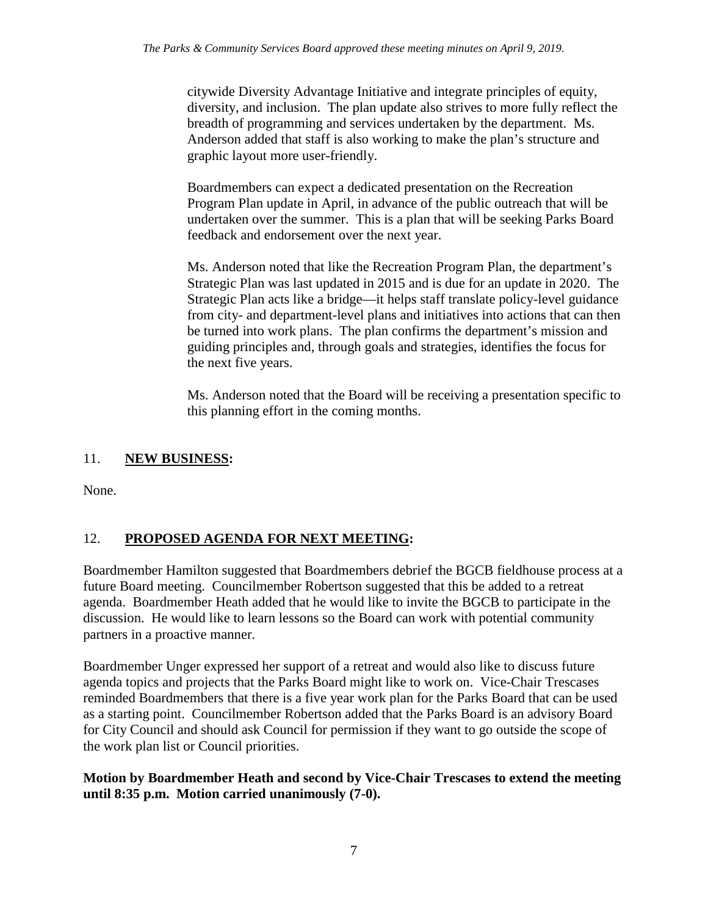citywide Diversity Advantage Initiative and integrate principles of equity, diversity, and inclusion. The plan update also strives to more fully reflect the breadth of programming and services undertaken by the department. Ms. Anderson added that staff is also working to make the plan's structure and graphic layout more user-friendly.

Boardmembers can expect a dedicated presentation on the Recreation Program Plan update in April, in advance of the public outreach that will be undertaken over the summer. This is a plan that will be seeking Parks Board feedback and endorsement over the next year.

Ms. Anderson noted that like the Recreation Program Plan, the department's Strategic Plan was last updated in 2015 and is due for an update in 2020. The Strategic Plan acts like a bridge—it helps staff translate policy-level guidance from city- and department-level plans and initiatives into actions that can then be turned into work plans. The plan confirms the department's mission and guiding principles and, through goals and strategies, identifies the focus for the next five years.

Ms. Anderson noted that the Board will be receiving a presentation specific to this planning effort in the coming months.

# 11. **NEW BUSINESS:**

None.

# 12. **PROPOSED AGENDA FOR NEXT MEETING:**

Boardmember Hamilton suggested that Boardmembers debrief the BGCB fieldhouse process at a future Board meeting. Councilmember Robertson suggested that this be added to a retreat agenda. Boardmember Heath added that he would like to invite the BGCB to participate in the discussion. He would like to learn lessons so the Board can work with potential community partners in a proactive manner.

Boardmember Unger expressed her support of a retreat and would also like to discuss future agenda topics and projects that the Parks Board might like to work on. Vice-Chair Trescases reminded Boardmembers that there is a five year work plan for the Parks Board that can be used as a starting point. Councilmember Robertson added that the Parks Board is an advisory Board for City Council and should ask Council for permission if they want to go outside the scope of the work plan list or Council priorities.

## **Motion by Boardmember Heath and second by Vice-Chair Trescases to extend the meeting until 8:35 p.m. Motion carried unanimously (7-0).**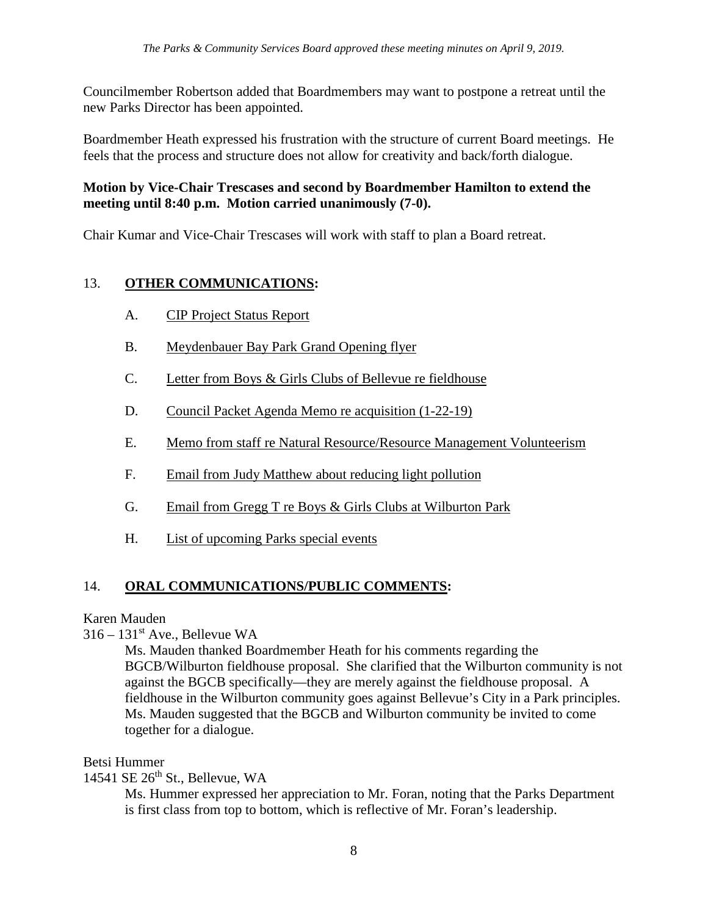Councilmember Robertson added that Boardmembers may want to postpone a retreat until the new Parks Director has been appointed.

Boardmember Heath expressed his frustration with the structure of current Board meetings. He feels that the process and structure does not allow for creativity and back/forth dialogue.

## **Motion by Vice-Chair Trescases and second by Boardmember Hamilton to extend the meeting until 8:40 p.m. Motion carried unanimously (7-0).**

Chair Kumar and Vice-Chair Trescases will work with staff to plan a Board retreat.

# 13. **OTHER COMMUNICATIONS:**

- A. CIP Project Status Report
- B. Meydenbauer Bay Park Grand Opening flyer
- C. Letter from Boys & Girls Clubs of Bellevue re fieldhouse
- D. Council Packet Agenda Memo re acquisition (1-22-19)
- E. Memo from staff re Natural Resource/Resource Management Volunteerism
- F. Email from Judy Matthew about reducing light pollution
- G. Email from Gregg T re Boys & Girls Clubs at Wilburton Park
- H. List of upcoming Parks special events

# 14. **ORAL COMMUNICATIONS/PUBLIC COMMENTS:**

## Karen Mauden

 $316 - 131$ <sup>st</sup> Ave., Bellevue WA

Ms. Mauden thanked Boardmember Heath for his comments regarding the BGCB/Wilburton fieldhouse proposal. She clarified that the Wilburton community is not against the BGCB specifically—they are merely against the fieldhouse proposal. A fieldhouse in the Wilburton community goes against Bellevue's City in a Park principles. Ms. Mauden suggested that the BGCB and Wilburton community be invited to come together for a dialogue.

#### Betsi Hummer

14541 SE  $26<sup>th</sup>$  St., Bellevue, WA

Ms. Hummer expressed her appreciation to Mr. Foran, noting that the Parks Department is first class from top to bottom, which is reflective of Mr. Foran's leadership.